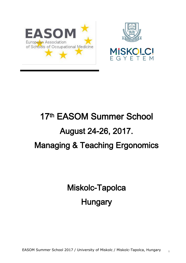





# 17th EASOM Summer School August 24-26, 2017. Managing & Teaching Ergonomics

Miskolc-Tapolca **Hungary**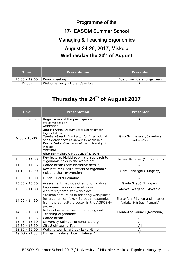## Programme of the 17th EASOM Summer School Managing & Teaching Ergonomics August 24-26, 2017, Miskolc **Wednesday the 23rd of August**

| <b>Time</b>     | <b>Presentation</b>            | <b>Presenter</b>          |
|-----------------|--------------------------------|---------------------------|
| $15.00 - 19.00$ | Board meeting                  | Board members, organizers |
| $19.00 -$       | Welcome Party - Hotel Calimbra | All                       |

## **Thursday the 24th of August 2017**

| <b>Time</b>      | <b>Presentation</b>                                                                                                                                                                                                                                                                                                         | <b>Presenter</b>                                           |
|------------------|-----------------------------------------------------------------------------------------------------------------------------------------------------------------------------------------------------------------------------------------------------------------------------------------------------------------------------|------------------------------------------------------------|
| $9.00 - 9.30$    | Registration of the participants                                                                                                                                                                                                                                                                                            | All                                                        |
| $9.30 - 10 - 00$ | Welcome session<br><b>ADRESSES</b><br>Zita Horváth, Deputy State Secretary for<br><b>Higher Education</b><br>Tamás Kékesi, Vice Rector for International<br>and Scientific Affairs University of Miskolc<br>Csaba Deák, Chancellor of the University of<br>Miskolc<br><b>OPENING</b><br>Giso Schmeisser, President of EASOM | Giso Schmeisser, Jasminka<br>Godnic-Cvar                   |
| $10.00 - 11.00$  | Key lecture: Multidisciplinary approach to<br>ergonomic risks in the workplace                                                                                                                                                                                                                                              | Helmut Krueger (Switzerland)                               |
| $11.00 - 11.15$  | Coffee break (administrative details)                                                                                                                                                                                                                                                                                       | All                                                        |
| $11.15 - 12.00$  | Key lecture: Health effects of ergonomic<br>risk and their prevention                                                                                                                                                                                                                                                       | Sara Felszeghi (Hungary)                                   |
| $12.00 - 13.00$  | Lunch - Hotel Calimbra                                                                                                                                                                                                                                                                                                      | All                                                        |
| $13.00 - 13.30$  | Assessment methods of ergonomic risks                                                                                                                                                                                                                                                                                       | Gyula Szabó (Hungary)                                      |
| $13.30 - 14.00$  | Ergonomic risks in case of young<br>workforce/computer workplace                                                                                                                                                                                                                                                            | Alenka Skerjanc (Slovenia)                                 |
| $14.00 - 14.30$  | Stakeholders' roles in adapting workplaces<br>for ergonomics risks - European examples<br>from the agriculture sector in the AGROSH+<br>project                                                                                                                                                                             | Elena-Ana Păuncu and Theodor<br>Valerian Hărătău (Romania) |
| $14.30 - 15.00$  | National experiences in managing and<br>Teaching ergonomics I.                                                                                                                                                                                                                                                              | Elena-Ana Păuncu (Romania)                                 |
| $15.00 - 15.15$  | Coffee break                                                                                                                                                                                                                                                                                                                | All                                                        |
| $15.45 - 16.30$  | University Selmec Memorial Library                                                                                                                                                                                                                                                                                          | All                                                        |
| $16.30 - 18.30$  | City Sightseeing Tour                                                                                                                                                                                                                                                                                                       | All                                                        |
| $18.30 - 19.00$  | Walking tour Lillafüred- Lake Hámor                                                                                                                                                                                                                                                                                         | All                                                        |
| 19.00 - 21.30    | Dinner in Palace Hotel Lillafüred*                                                                                                                                                                                                                                                                                          | All                                                        |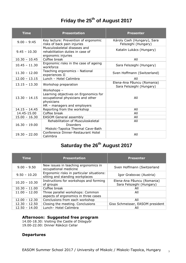#### **Friday the 25th of August 2017**

| <b>Time</b>     | <b>Presentation</b>                                                                                                                    | <b>Presenter</b>                                       |
|-----------------|----------------------------------------------------------------------------------------------------------------------------------------|--------------------------------------------------------|
| $9.00 - 9:45$   | Key lecture: Prevention of ergonomic<br>risks of back pain injuries                                                                    | Károly Cseh (Hungary), Sara<br>Felszeghi (Hungary)     |
| $9.45 - 10.30$  | Musculoskeletal diseases and<br>rehabilitation duties in case of<br>ergonomic injuries                                                 | Katalin Lukács (Hungary)                               |
| $10.30 - 10.45$ | Coffee break                                                                                                                           | All                                                    |
| $10.45 - 11.30$ | Ergonomic risks in the case of ageing<br>workforce                                                                                     | Sara Felszeghi (Hungary)                               |
| $11.30 - 12.00$ | Teaching ergonomics - National<br>experiences II                                                                                       | Sven Hoffmann (Switzerland)                            |
| $12.00 - 13.15$ | Lunch - Hotel Calimbra                                                                                                                 | All                                                    |
| $13.15 - 13.30$ | Workshop preparation                                                                                                                   | Elena-Ana Păuncu (Romania)<br>Sara Felszeghi (Hungary) |
| $13.30 - 14.15$ | Workshops -<br>Learning objectives on Ergonomics for<br>occupational physicians and other<br>physicians<br>HR - managers and employers | All                                                    |
| $14.15 - 14.45$ | Reporting from the workshop                                                                                                            | All                                                    |
| 14.45-15.00     | Coffee break                                                                                                                           | All                                                    |
| $15.00 - 16.30$ | <b>EASOM General assembly</b>                                                                                                          | All                                                    |
| $16.30 - 19.00$ | Rehabilitation of Musculoskeletal<br><b>Disorders</b><br>Miskolc-Tapolca Thermal Cave-Bath                                             | All                                                    |
| $19.30 - 22.00$ | Conference Dinner-Restaurant Hotel<br>Calimbra                                                                                         | All                                                    |

### **Saturday the 26th August 2017**

| <b>Time</b>     | <b>Presentation</b>                                                          | <b>Presenter</b>                                       |
|-----------------|------------------------------------------------------------------------------|--------------------------------------------------------|
| $9.00 - 9.50$   | New issues in teaching ergonomics in<br>occupational medicine                | Sven Hoffmann (Switzerland                             |
| $9.50 - 10.20$  | Ergonomic risks in particular situations:<br>sitting and standing workplaces | Igor Grabovac (Austria)                                |
| $10.20 - 10.30$ | Instructions for workshops and forming<br>of groups                          | Elena-Ana Păuncu (Romania)<br>Sara Felszeghi (Hungary) |
| $10.30 - 11.00$ | Coffee break                                                                 | All                                                    |
| $11.00 - 12.00$ | Three parallel workshops: Common<br>aspects of ergonomics in three cases     | All                                                    |
| $12.00 - 12.30$ | Conclusions from each workshop                                               | All                                                    |
| $12.30 - 12.50$ | Closing the meeting. Conclusions                                             | Giso Schmeisser, EASOM president                       |
| $12.50 - 14.00$ | Lunch- Hotel Calimbra                                                        | All                                                    |

#### **Afternoon: Suggested free program**

14.00-18.30: Visiting the Castle of Diósgyőr 19.00-22.00: Dinner Rákóczi Cellar

#### **Departures**